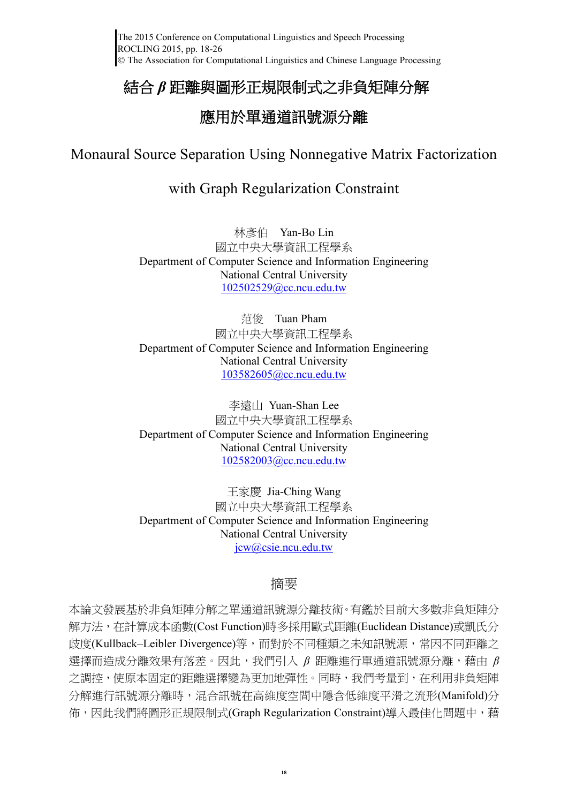# 結合 *β* 距離與圖形正規限制式之非負矩陣分解

# 應用於單通道訊號源分離

# Monaural Source Separation Using Nonnegative Matrix Factorization

## with Graph Regularization Constraint

林彥伯 Yan-Bo Lin 國立中央大學資訊工程學系 Department of Computer Science and Information Engineering National Central University [102502529@cc.ncu.edu.tw](mailto:khchen@ntu.edu.tw)

范俊 Tuan Pham 國立中央大學資訊工程學系 Department of Computer Science and Information Engineering National Central University [103582605@cc.ncu.edu.tw](mailto:103582605@cc.ncu.edu.tw)

李遠山 Yuan-Shan Lee 國立中央大學資訊工程學系 Department of Computer Science and Information Engineering National Central University [102582003@cc.ncu.edu.tw](mailto:102582003@cc.ncu.edu.tw)

王家慶 Jia-Ching Wang 國立中央大學資訊工程學系 Department of Computer Science and Information Engineering National Central University [jcw@csie.ncu.edu.tw](mailto:jcw@csie.ncu.edu.tw)

## 摘要

本論文發展基於非負矩陣分解之單通道訊號源分離技術。有鑑於目前大多數非負矩陣分 解方法, 在計算成本函數(Cost Function)時多採用歐式距離(Euclidean Distance)或凱氏分 歧度(Kullback–Leibler Divergence)等,而對於不同種類之未知訊號源,常因不同距離之 選擇而造成分離效果有落差。因此,我們引入 *β* 距離進行單通道訊號源分離,藉由 *β* 之調控,使原本固定的距離選擇變為更加地彈性。同時,我們考量到,在利用非負矩陣 分解進行訊號源分離時,混合訊號在高維度空間中隱含低維度平滑之流形(Manifold)分 佈,因此我們將圖形正規限制式(Graph Regularization Constraint)導入最佳化問題中,藉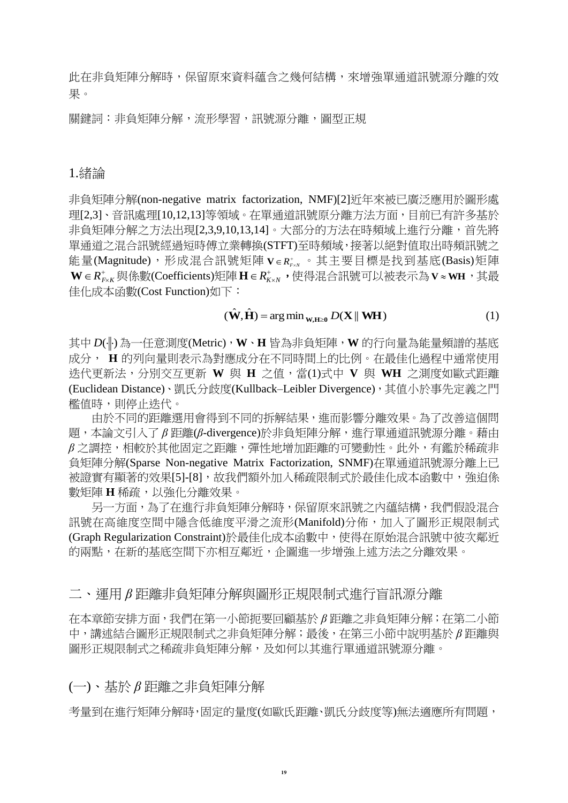此在非負矩陣分解時,保留原來資料蘊含之幾何結構,來增強單通道訊號源分離的效 果。

關鍵詞:非負矩陣分解,流形學習,訊號源分離,圖型正規

## 1.緒論

非負矩陣分解(non-negative matrix factorization, NMF)[2]近年來被已廣泛應用於圖形處 理[2,3]、音訊處理[10,12,13]等領域。在單通道訊號原分離方法方面,目前已有許多基於 非負矩陣分解之方法出現[2,3,9,10,13,14]。大部分的方法在時頻域上進行分離,首先將 單通道之混合訊號經過短時傅立業轉換(STFT)至時頻域,接著以絕對值取出時頻訊號之 能量(Magnitude),形成混合訊號矩陣Ⅴ∈R<del>'sserep 其主要目標是</del>找到基底(Basis)矩陣  $\mathbf{W} \in R_{\scriptscriptstyle F\times K}^{\scriptscriptstyle +}$ 與係數(Coefficients)矩陣  $\mathbf{H} \in R_{\scriptscriptstyle K\times N}^{\scriptscriptstyle +}$  ,使得混合訊號可以被表示為  $\mathbf{V} \approx$  WH ,其最 佳化成本函數(Cost Function)如下:

#### $(\hat{\mathbf{W}}, \hat{\mathbf{H}})$  = arg min  $_{\mathbf{W}, \mathbf{H} \geq 0}$   $D(\mathbf{X} \parallel \mathbf{W} \mathbf{H})$  $(\hat{\mathbf{W}}, \hat{\mathbf{H}})$  = arg min  $_{\mathbf{W}, \mathbf{H} \ge 0}$  D(**X** || **WH**) (1)

其中D(||·)為一任意測度(Metric),W、H 皆為非負矩陣,W 的行向量為能量頻譜的基底 成分, **H** 的列向量則表示為對應成分在不同時間上的比例。在最佳化過程中通常使用 迭代更新法,分別交互更新 **W** 與 **H** 之值,當(1)式中 **V** 與 **WH** 之測度如歐式距離 (Euclidean Distance)、凱氏分歧度(Kullback–Leibler Divergence),其值小於事先定義之門 檻值時,則停止迭代。

由於不同的距離選用會得到不同的拆解結果,進而影響分離效果。為了改善這個問 題,本論文引入了β距離(β-divergence)於非負矩陣分解,進行單通道訊號源分離。藉由 *β* 之調控,相較於其他固定之距離,彈性地增加距離的可變動性。此外,有鑑於稀疏非 負矩陣分解(Sparse Non-negative Matrix Factorization, SNMF)在單通道訊號源分離上已 被證實有顯著的效果[5]-[8],故我們額外加入稀疏限制式於最佳化成本函數中,強迫係 數矩陣 **H** 稀疏,以強化分離效果。

另一方面,為了在進行非負矩陣分解時,保留原來訊號之內蘊結構,我們假設混合 訊號在高維度空間中隱含低維度平滑之流形(Manifold)分佈,加入了圖形正規限制式 (Graph Regularization Constraint)於最佳化成本函數中,使得在原始混合訊號中彼次鄰近 的兩點,在新的基底空間下亦相互鄰近,企圖進一步增強上述方法之分離效果。

二、運用 *β* 距離非負矩陣分解與圖形正規限制式進行盲訊源分離

在本章節安排方面,我們在第一小節扼要回顧基於 *β* 距離之非負矩陣分解;在第二小節 中,講述結合圖形正規限制式之非負矩陣分解;最後,在第三小節中說明基於 *β* 距離與 圖形正規限制式之稀疏非負矩陣分解,及如何以其進行單通道訊號源分離。

(一)、基於 *β* 距離之非負矩陣分解

考量到在進行矩陣分解時,固定的量度(如歐氏距離、凱氏分歧度等)無法適應所有問題,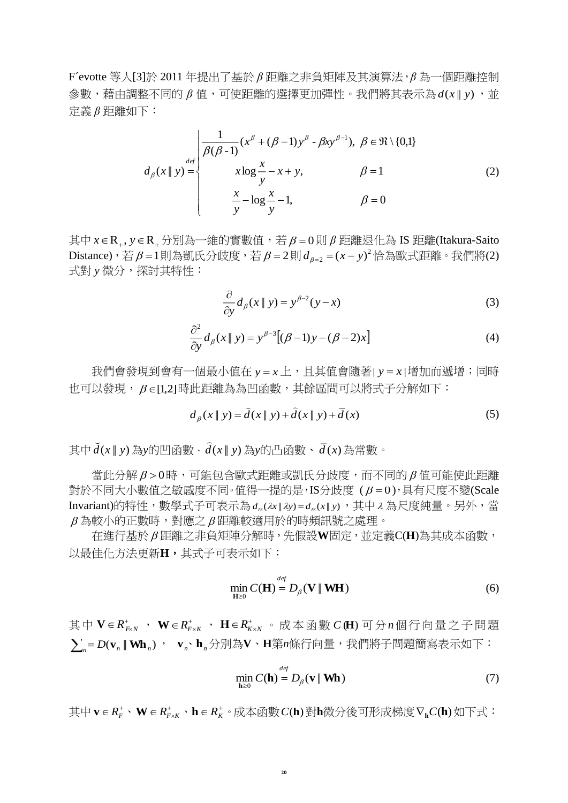F´evotte 等人[3]於 2011 年提出了基於 *β* 距離之非負矩陣及其演算法,*β* 為一個距離控制  $\frac{1}{2}$ 數,藉由調整不同的β值,可使距離的選擇更加彈性。我們將其表示為 $d(x||y)$ ,並 定義 *β* 距離如下:

$$
d_{\beta}(x \parallel y) = \begin{cases} \frac{1}{\beta(\beta - 1)} (x^{\beta} + (\beta - 1) y^{\beta} - \beta x y^{\beta - 1}), & \beta \in \Re \setminus \{0, 1\} \\ x \log \frac{x}{y} - x + y, & \beta = 1 \\ \frac{x}{y} - \log \frac{x}{y} - 1, & \beta = 0 \end{cases}
$$
 (2)

其中  $x \in \mathbb{R}_+$ ,  $y \in \mathbb{R}_+$  分別為一維的實數值,若  $\beta = 0$ 則  $\beta$  距離退化為 IS 距離(Itakura-Saito  $\mathrm{Distance})$ ,若 $\beta$ =1則為凱氏分歧度,若 $\beta$ =2則 $d_{\beta$ =2 =(x – y) $^2$ 恰為歐式距離。我們將(2) 式對 *y* 微分,探討其特性:

$$
\frac{\partial}{\partial y}d_{\beta}(x \parallel y) = y^{\beta - 2}(y - x)
$$
\n(3)

$$
\frac{\partial^2}{\partial y}d_{\beta}(x \parallel y) = y^{\beta - 3}[(\beta - 1)y - (\beta - 2)x]
$$
\n(4)

我們會發現到會有一個最小值在 y = *x* 上,且其值會隨著| y = *x* |增加而遞增;同時 也可以發現,β∈[1,2]時此距離為為凹函數,其餘區間可以將式子分解如下:

$$
d_{\beta}(x \parallel y) = \breve{d}(x \parallel y) + \hat{d}(x \parallel y) + \bar{d}(x)
$$
 (5)

其中 $\vec{d}(x \mid y)$ 為y的凹函數、 $\hat{d}(x \mid y)$ 為y的凸函數、 $\vec{d}(x)$ 為常數。

當此分解β>0時,可能包含歐式距離或凱氏分歧度,而不同的β值可能使此距離 對於不同大小數值之敏感度不同。值得一提的是,IS分歧度  $(\beta = 0)$ ,具有尺度不變(Scale Invariant)的特性,數學式子可表示為 *d<sub>s</sub>(λx||λy)* = *d<sub>s</sub>(x||y*),其中 λ 為尺度純量。另外,當  $\beta$  為較小的正數時,對應之 $\beta$ 距離較適用於的時頻訊號之處理。

在進行基於 距離之非負矩陣分解時,先假設**W**固定,並定義C(**H**)為其成本函數, 以最佳化方法更新**H**,其式子可表示如下:

$$
\min_{\mathbf{H}\geq 0} C(\mathbf{H}) = D_{\beta}(\mathbf{V} \parallel \mathbf{W} \mathbf{H})
$$
\n(6)

其中 Ⅴ ∈ R<sup>+</sup><sub>&×</sub> , W ∈ R<sup>+</sup><sub>&×</sub> , H ∈ R<sup>+</sup><sub>&×</sub> 。 成本函數 C (H) 可分 *n* 個行向量之子問題  $\sum_{n}$ = D( $\mathbf{v}_{n}$  ||  $\mathbf{W}\mathbf{h}_{n}$ ) ,  $\mathbf{v}_{n}$  、 $\mathbf{h}_{n}$ 分別為 $\mathbf{V}$  、H第 $n$ 條行向量,我們將子問題簡寫表示如下:

$$
\min_{\mathbf{h}\geq 0} C(\mathbf{h}) = D_{\beta}(\mathbf{v} \parallel \mathbf{W}\mathbf{h})
$$
\n(7)

其中 $\mathbf{v} \in R_F^* \cdot \mathbf{W} \in R_{F \times K}^* \cdot \mathbf{h} \in R_K^* \cdot \text{R}$  成本函數  $C(\mathbf{h})$ 對 $\mathbf{h}$ 微分後可形成梯度 $\nabla_{\mathbf{h}} C(\mathbf{h})$ 如下式: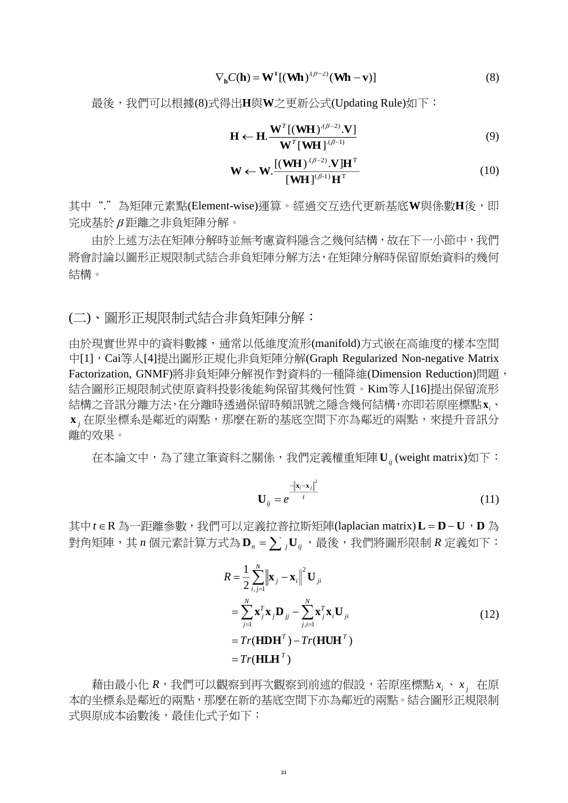$$
\nabla_{\mathbf{h}} C(\mathbf{h}) = \mathbf{W}^{\mathrm{T}} [(\mathbf{W}\mathbf{h})^{(\beta - 2)} (\mathbf{W}\mathbf{h} - \mathbf{v})] \tag{8}
$$

最後,我們可以根據(8)式得出**H**與**W**之更新公式(Updating Rule)如下:

$$
\mathbf{H} \leftarrow \mathbf{H} \cdot \frac{\mathbf{W}^T [(\mathbf{W} \mathbf{H})^{(\beta-2)} \cdot \mathbf{V}]}{\mathbf{W}^T [\mathbf{W} \mathbf{H}]^{(\beta-1)}}
$$
(9)

$$
\mathbf{W} \leftarrow \mathbf{W} \cdot \frac{\left[ (\mathbf{W} \mathbf{H})^{(\beta - 2)} \cdot \mathbf{V} \right] \mathbf{H}^{\mathrm{T}}}{\left[ \mathbf{W} \mathbf{H} \right]^{(\beta - 1)} \mathbf{H}^{\mathrm{T}}}
$$
(10)

其中"."為矩陣元素點(Element-wise)運算。經過交互迭代更新基底W與係數H後,即 完成基於 距離之非負矩陣分解。

由於上述方法在矩陣分解時並無考慮資料隱含之幾何結構,故在下一小節中,我們 將會討論以圖形正規限制式結合非負矩陣分解方法,在矩陣分解時保留原始資料的幾何 結構。

(二)、圖形正規限制式結合非負矩陣分解:

由於現實世界中的資料數據,通常以低維度流形(manifold)方式嵌在高維度的樣本空間 中[1],Cai等人[4]提出圖形正規化非負矩陣分解(Graph Regularized Non-negative Matrix Factorization, GNMF)將非負矩陣分解視作對資料的一種降維(Dimension Reduction)問題, 結合圖形正規限制式使原資料投影後能夠保留其幾何性質。Kim等人[16]提出保留流形 結構之音訊分離方法,在分離時透過保留時頻訊號之隱含幾何結構,亦即若原座標點x,、  $\mathbf{x}_{j}$ 在原坐標系是鄰近的兩點,那麼在新的基底空間下亦為鄰近的兩點,來提升音訊分 離的效果。

在本論文中,為了建立筆資料之關係,我們定義權重矩陣 **<sup>U</sup>***ij* (weight matrix)如下:

$$
\mathbf{U}_{ij} = e^{\frac{-\left\|\mathbf{x}_i - \mathbf{x}_j\right\|^2}{t}}
$$
(11)

其中*t*∈R 為一距離參數,我們可以定義拉普拉斯矩陣(laplacian matrix)L=D−U,D 為 對角矩陣,其η個元素計算方式為 $\mathbf{D}_{{\sf n}}$  =  $\sum{}_j \mathbf{U}_{ij}$ ,最後,我們將圖形限制  $R$  定義如下:

$$
R = \frac{1}{2} \sum_{i,j=1}^{N} \|\mathbf{x}_{j} - \mathbf{x}_{i}\|^{2} \mathbf{U}_{ji}
$$
  
\n
$$
= \sum_{j=1}^{N} \mathbf{x}_{j}^{T} \mathbf{x}_{j} \mathbf{D}_{jj} - \sum_{j,i=1}^{N} \mathbf{x}_{j}^{T} \mathbf{x}_{i} \mathbf{U}_{ji}
$$
  
\n
$$
= Tr(\mathbf{H} \mathbf{D} \mathbf{H}^{T}) - Tr(\mathbf{H} \mathbf{U} \mathbf{H}^{T})
$$
  
\n
$$
= Tr(\mathbf{H} \mathbf{L} \mathbf{H}^{T})
$$
 (12)

 $\ddot{\widehat{\pi}}$ 由最小化  $R$ ,我們可以觀察到再次觀察到前述的假設,若原座標點 $x_i \cdot x_j$  在原 本的坐標系是鄰近的兩點,那麼在新的基底空間下亦為鄰近的兩點。結合圖形正規限制 式與原成本函數後,最佳化式子如下: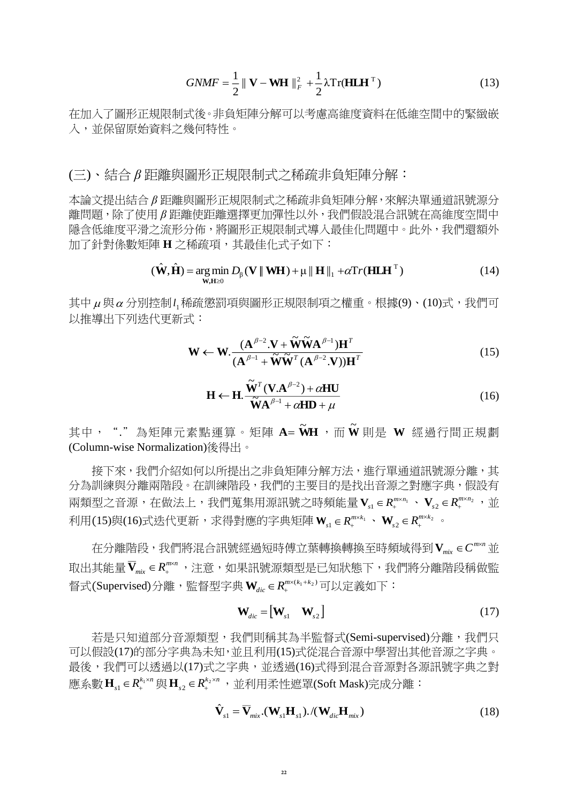$$
GNMF = \frac{1}{2} \parallel \mathbf{V} - \mathbf{WH} \parallel_F^2 + \frac{1}{2} \lambda \operatorname{Tr}(\mathbf{H} \mathbf{L} \mathbf{H}^{\mathrm{T}})
$$
(13)

在加入了圖形正規限制式後。非負矩陣分解可以考慮高維度資料在低維空間中的緊緻嵌 入,並保留原始資料之幾何特性。

(三)、結合 *β* 距離與圖形正規限制式之稀疏非負矩陣分解:

本論文提出結合 *β* 距離與圖形正規限制式之稀疏非負矩陣分解,來解決單通道訊號源分 離問題,除了使用 *β* 距離使距離選擇更加彈性以外,我們假設混合訊號在高維度空間中 隱含低維度平滑之流形分佈,將圖形正規限制式導入最佳化問題中。此外,我們還額外 加了針對係數矩陣 **H** 之稀疏項,其最佳化式子如下:

$$
(\hat{\mathbf{W}}, \hat{\mathbf{H}}) = \underset{\mathbf{W}, \mathbf{H} \ge 0}{\arg \min} D_{\beta}(\mathbf{V} \parallel \mathbf{W} \mathbf{H}) + \mu \parallel \mathbf{H} \parallel_1 + \alpha \text{Tr}(\mathbf{H} \mathbf{L} \mathbf{H}^{\mathrm{T}})
$$
(14)

其中μ與α分別控制l<sub>1</sub>稀疏懲罰項與圖形正規限制項之權重。根據(9)、(10)式,我們可 以推導出下列迭代更新式:

$$
\mathbf{W} \leftarrow \mathbf{W}. \frac{(\mathbf{A}^{\beta-2}.\mathbf{V} + \widetilde{\mathbf{W}} \widetilde{\mathbf{W}} \mathbf{A}^{\beta-1}) \mathbf{H}^T}{(\mathbf{A}^{\beta-1} + \widetilde{\mathbf{W}} \widetilde{\mathbf{W}}^T (\mathbf{A}^{\beta-2}.\mathbf{V})) \mathbf{H}^T}
$$
(15)

$$
\mathbf{H} \leftarrow \mathbf{H} \cdot \frac{\tilde{\mathbf{W}}^T (\mathbf{V} \cdot \mathbf{A}^{\beta - 2}) + \alpha \mathbf{H} \mathbf{U}}{\tilde{\mathbf{W}} \mathbf{A}^{\beta - 1} + \alpha \mathbf{H} \mathbf{D} + \mu}
$$
(16)

其中,"."為矩陣元素點運算。矩陣 A= WH ,而 W 則是 W 經過行間正規劃 (Column-wise Normalization)後得出。

接下來,我們介紹如何以所提出之非負矩陣分解方法,進行單通道訊號源分離,其 分為訓練與分離兩階段。在訓練階段,我們的主要目的是找出音源之對應字典,假設有 兩類型之音源,在做法上,我們蒐集用源訊號之時頻能量 $\mathbf{V}_{\mathsf{sl}}$   $\in$   $\mathsf{R}_{\mathsf{J}}^{m \times n_1}$  $\mathbf{V}_{s1} \in R_{+}^{m \times n_{1}}$  ,  $\mathbf{V}_{s2} \in R_{+}^{m \times n_{2}}$  ,  $\frac{1}{2}$ 利用(15)與(16)式迭代更新,求得對應的字典矩陣 **W***s*<sup>1</sup> 1 *km R* 、 <sup>2</sup> 2  $\textbf{W}_{s2} \in R_{+}^{m \times k_{2}}$  .

在分離階段,我們將混合訊號經過短時傅立葉轉換轉換至時頻域得到Ⅴ $_{\sf mix}$ ∈C $^{\sf mxx}$ 並 取出其能量 **V**<sub>nüx</sub> ∈ R™™ ,注意,如果訊號源類型是已知狀態下,我們將分離階段稱做監 督式(Supervised)分離,監督型字典  $\mathbf{W}_{\mathit{dic}} \in R_{\text{\tiny{+}}}^{\mathit{m}\times (k_1+k_2)}$ 可以定義如下:

$$
\mathbf{W}_{\text{dic}} = \begin{bmatrix} \mathbf{W}_{s1} & \mathbf{W}_{s2} \end{bmatrix} \tag{17}
$$

若是只知道部分音源類型,我們則稱其為半監督式(Semi-supervised)分離,我們只 可以假設(17)的部分字典為未知,並且利用(15)式從混合音源中學習出其他音源之字典。 最後,我們可以透過以(17)式之字典,並透過(16)式得到混合音源對各源訊號字典之對 應系數 $\mathbf{H}_{s1} \in R_{+}^{k_{1} \times n}$ 與 $\mathbf{H}_{s2} \in R_{+}^{k_{2} \times n}$ ,並利用柔性遮罩(Soft Mask)完成分離:

$$
\hat{\mathbf{V}}_{s1} = \overline{\mathbf{V}}_{mix} \cdot (\mathbf{W}_{s1} \mathbf{H}_{s1}) \cdot / (\mathbf{W}_{di} \mathbf{H}_{mix})
$$
\n(18)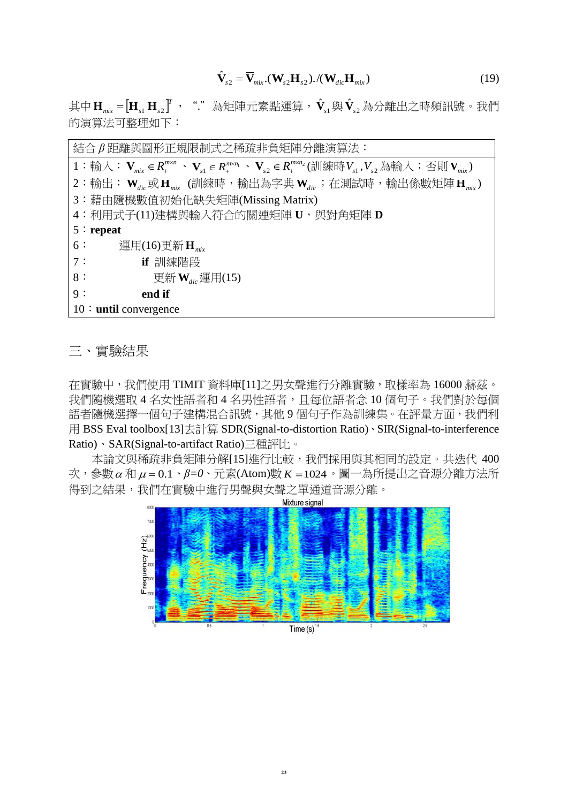$$
\hat{\mathbf{V}}_{s2} = \overline{\mathbf{V}}_{\text{mix}}.(\mathbf{W}_{s2} \mathbf{H}_{s2}).((\mathbf{W}_{\text{dic}} \mathbf{H}_{\text{mix}}))
$$
\n(19)

其中Ⅱ<sub>㎜</sub>。=[H<sub>s1</sub> H<sub>s2</sub>]″,"."為矩陣元素點運算, $\hat{\mathbf{V}}_{_{\mathrm{S}1}}$ 與 $\hat{\mathbf{V}}_{_{\mathrm{S}2}}$  $\hat{\mathbf{V}}_{\mathrm{s}2}$ 為分離出之時頻訊號。我們 的演算法可整理如下:

結合 *β* 距離與圖形正規限制式之稀疏非負矩陣分離演算法:  $1:$  輸入: $\mathbf{V}_{mix} \in R_+^{m \times n} \, \cdot \, \mathbf{V}_{s1} \in R_+^{m \times n_1} \, \cdot \, \mathbf{V}_{s2} \in R_+^{m \times n_2}(\mathbb{M} \otimes \mathbb{H} \times V_{s1}, V_{s2} \not \Rightarrow \mathbb{M} \times \mathbb{M}) \, \mathbf{V}_{mix})$  $2:$ 輸出: $\mathbf{W}_{\mathit{dic}}$  或  $\mathbf{H}_{\mathit{mix}}$ (訓練時,輸出為字典 $\mathbf{W}_{\mathit{dic}}$ ;在測試時,輸出係數矩陣  $\mathbf{H}_{\mathit{mix}}$ ) 3:藉由隨機數值初始化缺失矩陣(Missing Matrix) 4:利用式子(11)建構與輸入符合的關連矩陣 **U**,與對角矩陣 **D** 5:**repeat** 6: 運用(16)更新 **H***mix* 7: **if** 訓練階段  $8:$  更新 $\mathbf{W}_{\mathit{dic}}$ 運用(15) 9: **end if** 10:**until** convergence

三、實驗結果

在實驗中,我們使用 TIMIT 資料庫[11]之男女聲進行分離實驗,取樣率為 16000 赫茲。 我們隨機選取 4 名女性語者和 4 名男性語者,且每位語者念 10 個句子。我們對於每個 語者隨機選擇一個句子建構混合訊號,其他9個句子作為訓練集。在評量方面,我們利 用 BSS Eval toolbox[13]去計算 SDR(Signal-to-distortion Ratio)、SIR(Signal-to-interference Ratio)、SAR(Signal-to-artifact Ratio)三種評比。

本論文與稀疏非負矩陣分解[15]進行比較,我們採用與其相同的設定。共迭代 400 次,參數α和μ=0.1、β=0、元素(Atom)數 *K* = 1024。圖一為所提出之音源分離方法所 得到之結果,我們在實驗中進行男聲與女聲之單通道音源分離。

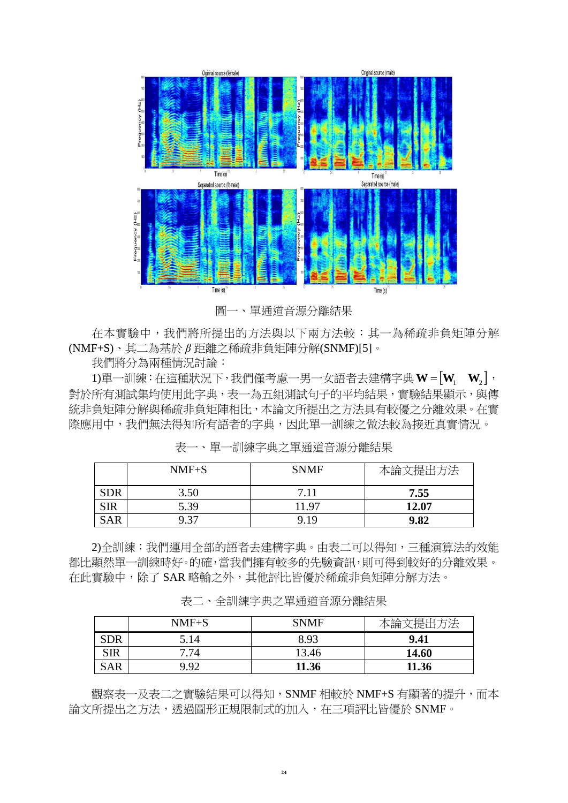

圖一、單通道音源分離結果

在本實驗中,我們將所提出的方法與以下兩方法較:其一為稀疏非負矩陣分解 (NMF+S)、其二為基於 *β* 距離之稀疏非負矩陣分解(SNMF)[5]。

我們將分為兩種情況討論:

1)單一訓練:在這種狀況下,我們僅考慮一男一女語者去建構字典 **WWW** <sup>21</sup> , 對於所有測試集均使用此字典,表一為五組測試句子的平均結果,實驗結果顯示,與傳 統非負矩陣分解與稀疏非負矩陣相比,本論文所提出之方法具有較優之分離效果。在實 際應用中,我們無法得知所有語者的字典,因此單一訓練之做法較為接近真實情況。

|            | $NMF+S$ | <b>SNMF</b> | :提出方法<br>本論 |
|------------|---------|-------------|-------------|
| <b>SDR</b> | 3.50    | 7.11        | 7.55        |
| <b>SIR</b> | 5.39    | 11.97       | 12.07       |
| <b>SAR</b> | 9.37    | 9.19        | 9.82        |

表一、單一訓練字典之單通道音源分離結果

2)全訓練:我們運用全部的語者去建構字典。由表二可以得知,三種演算法的效能 都比顯然單一訓練時好。的確,當我們擁有較多的先驗資訊,則可得到較好的分離效果。 在此實驗中,除了 SAR 略輸之外,其他評比皆優於稀疏非負矩陣分解方法。

表二、全訓練字典之單通道音源分離結果

|            | $NMF+S$ | <b>SNMF</b> |       |
|------------|---------|-------------|-------|
| <b>SDR</b> | 5.14    | 8.93        | 9.41  |
| <b>SIR</b> | 7.74    | 13.46       | 14.60 |
| <b>SAR</b> | 992     | 11.36       | 11.36 |

觀察表一及表二之實驗結果可以得知, SNMF 相較於 NMF+S 有顯著的提升, 而本 論文所提出之方法,透過圖形正規限制式的加入,在三項評比皆優於 SNMF。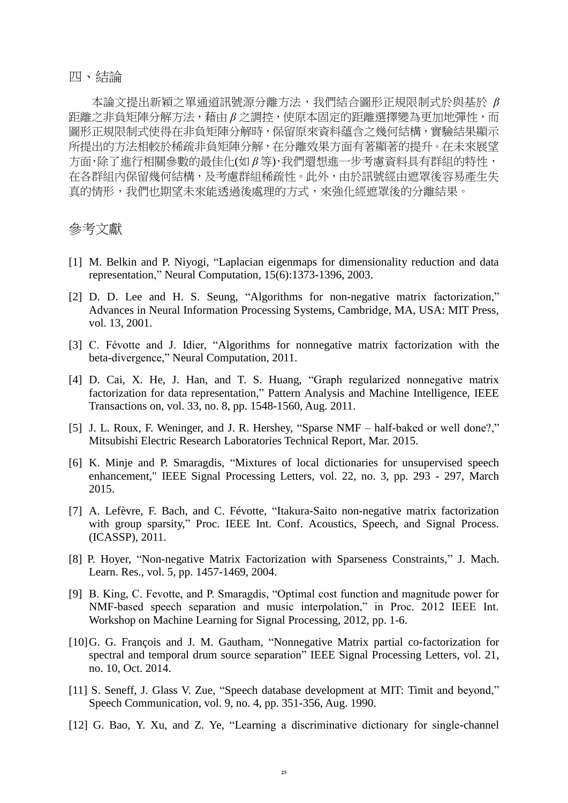### 四、結論

本論文提出新穎之單通道訊號源分離方法,我們結合圖形正規限制式於與基於 *β* 距離之非負矩陣分解方法,藉由 *β* 之調控,使原本固定的距離選擇變為更加地彈性,而 圖形正規限制式使得在非負矩陣分解時,保留原來資料蘊含之幾何結構,實驗結果顯示 所提出的方法相較於稀疏非負矩陣分解,在分離效果方面有著顯著的提升。在未來展望 方面,除了進行相關參數的最佳化(如 *β* 等),我們還想進一步考慮資料具有群組的特性, 在各群組內保留幾何結構,及考慮群組稀疏性。此外,由於訊號經由遮罩後容易產生失 真的情形,我們也期望未來能透過後處理的方式,來強化經遮罩後的分離結果。

## 參考文獻

- [1] M. Belkin and P. Niyogi, "Laplacian eigenmaps for dimensionality reduction and data representation," Neural Computation, 15(6):1373-1396, 2003.
- [2] D. D. Lee and H. S. Seung, "Algorithms for non-negative matrix factorization," Advances in Neural Information Processing Systems, Cambridge, MA, USA: MIT Press, vol. 13, 2001.
- [3] C. Févotte and J. Idier, "Algorithms for nonnegative matrix factorization with the beta-divergence," Neural Computation, 2011.
- [4] D. Cai, X. He, J. Han, and T. S. Huang, "Graph regularized nonnegative matrix factorization for data representation," Pattern Analysis and Machine Intelligence, IEEE Transactions on, vol. 33, no. 8, pp. 1548-1560, Aug. 2011.
- [5] J. L. Roux, F. Weninger, and J. R. Hershey, "Sparse NMF half-baked or well done?," Mitsubishi Electric Research Laboratories Technical Report, Mar. 2015.
- [6] K. Minje and P. Smaragdis, "Mixtures of local dictionaries for unsupervised speech enhancement," IEEE Signal Processing Letters, vol. 22, no. 3, pp. 293 - 297, March 2015.
- [7] A. Lefèvre, F. Bach, and C. Févotte, "Itakura-Saito non-negative matrix factorization with group sparsity," Proc. IEEE Int. Conf. Acoustics, Speech, and Signal Process. (ICASSP), 2011.
- [8] P. Hoyer, "Non-negative Matrix Factorization with Sparseness Constraints," J. Mach. Learn. Res., vol. 5, pp. 1457-1469, 2004.
- [9] B. King, C. Fevotte, and P. Smaragdis, "Optimal cost function and magnitude power for NMF-based speech separation and music interpolation," in Proc. 2012 IEEE Int. Workshop on Machine Learning for Signal Processing, 2012, pp. 1-6.
- [10]G. G. François and J. M. Gautham, "Nonnegative Matrix partial co-factorization for spectral and temporal drum source separation" IEEE Signal Processing Letters, vol. 21, no. 10, Oct. 2014.
- [11] S. Seneff, J. Glass V. Zue, "Speech database development at MIT: Timit and beyond," Speech Communication, vol. 9, no. 4, pp. 351-356, Aug. 1990.
- [12] G. Bao, Y. Xu, and Z. Ye, "Learning a discriminative dictionary for single-channel